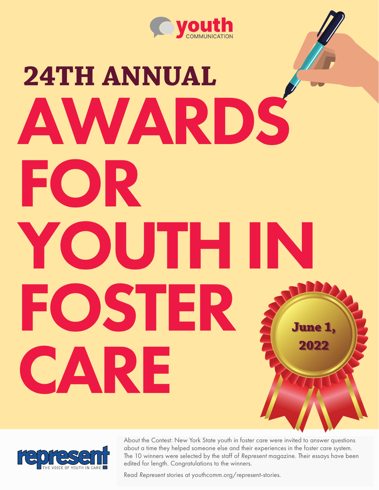

# **24TH ANNUAL** AWARDS FOR YOUTH IN FOSTER CARE **June 1, June 1, June 1, 2022 2022**



About the Contest: New York State youth in foster care were invited to answer About the Contest: New York State youth in foster care were invited to answer questions about a time they helped someone else and their experiences in the foster care system. The 10 winners were selected by the staff of Represent magazine. Their essays have been edited for length. Congratulations to the winners.

Read Represent stories at youthcomm.org/represent-stories.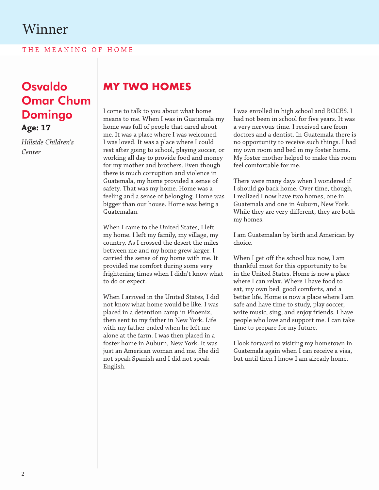THE MEANING OF HOME

## Osvaldo Omar Chum Domingo **Age: 17**

*Hillside Children's Center*

## **MY TWO HOMES**

I come to talk to you about what home means to me. When I was in Guatemala my home was full of people that cared about me. It was a place where I was welcomed. I was loved. It was a place where I could rest after going to school, playing soccer, or working all day to provide food and money for my mother and brothers. Even though there is much corruption and violence in Guatemala, my home provided a sense of safety. That was my home. Home was a feeling and a sense of belonging. Home was bigger than our house. Home was being a Guatemalan.

When I came to the United States, I left my home. I left my family, my village, my country. As I crossed the desert the miles between me and my home grew larger. I carried the sense of my home with me. It provided me comfort during some very frightening times when I didn't know what to do or expect.

When I arrived in the United States, I did not know what home would be like. I was placed in a detention camp in Phoenix, then sent to my father in New York. Life with my father ended when he left me alone at the farm. I was then placed in a foster home in Auburn, New York. It was just an American woman and me. She did not speak Spanish and I did not speak English.

I was enrolled in high school and BOCES. I had not been in school for five years. It was a very nervous time. I received care from doctors and a dentist. In Guatemala there is no opportunity to receive such things. I had my own room and bed in my foster home. My foster mother helped to make this room feel comfortable for me.

There were many days when I wondered if I should go back home. Over time, though, I realized I now have two homes, one in Guatemala and one in Auburn, New York. While they are very different, they are both my homes.

I am Guatemalan by birth and American by choice.

When I get off the school bus now, I am thankful most for this opportunity to be in the United States. Home is now a place where I can relax. Where I have food to eat, my own bed, good comforts, and a better life. Home is now a place where I am safe and have time to study, play soccer, write music, sing, and enjoy friends. I have people who love and support me. I can take time to prepare for my future.

I look forward to visiting my hometown in Guatemala again when I can receive a visa, but until then I know I am already home.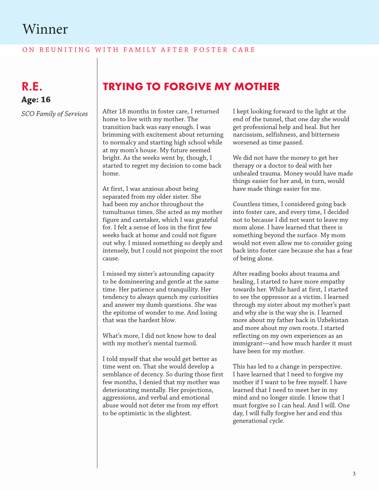#### ON REUNITING WITH FAMILY AFTER FOSTER CARE

R.E. **Age: 16**

*SCO Family of Services*

#### **TRYING TO FORGIVE MY MOTHER**

After 18 months in foster care, I returned home to live with my mother. The transition back was easy enough. I was brimming with excitement about returning to normalcy and starting high school while at my mom's house. My future seemed bright. As the weeks went by, though, I started to regret my decision to come back home.

At first, I was anxious about being separated from my older sister. She had been my anchor throughout the tumultuous times. She acted as my mother figure and caretaker, which I was grateful for. I felt a sense of loss in the first few weeks back at home and could not figure out why. I missed something so deeply and intensely, but I could not pinpoint the root cause.

I missed my sister's astounding capacity to be domineering and gentle at the same time. Her patience and tranquility. Her tendency to always quench my curiosities and answer my dumb questions. She was the epitome of wonder to me. And losing that was the hardest blow.

What's more, I did not know how to deal with my mother's mental turmoil.

I told myself that she would get better as time went on. That she would develop a semblance of decency. So during those first few months, I denied that my mother was deteriorating mentally. Her projections, aggressions, and verbal and emotional abuse would not deter me from my effort to be optimistic in the slightest.

I kept looking forward to the light at the end of the tunnel, that one day she would get professional help and heal. But her narcissism, selfishness, and bitterness worsened as time passed.

We did not have the money to get her therapy or a doctor to deal with her unhealed trauma. Money would have made things easier for her and, in turn, would have made things easier for me.

Countless times, I considered going back into foster care, and every time, I decided not to because I did not want to leave my mom alone. I have learned that there is something beyond the surface. My mom would not even allow me to consider going back into foster care because she has a fear of being alone.

After reading books about trauma and healing, I started to have more empathy towards her. While hard at first, I started to see the oppressor as a victim. I learned through my sister about my mother's past and why she is the way she is. I learned more about my father back in Uzbekistan and more about my own roots. I started reflecting on my own experiences as an immigrant—and how much harder it must have been for my mother.

This has led to a change in perspective. I have learned that I need to forgive my mother if I want to be free myself. I have learned that I need to meet her in my mind and no longer sizzle. I know that I must forgive so I can heal. And I will. One day, I will fully forgive her and end this generational cycle.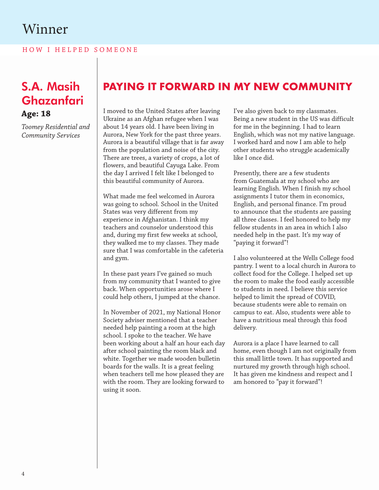HOW I HELPED SOMEONE

#### S.A. Masih Ghazanfari **Age: 18**

*Toomey Residential and Community Services*

#### **PAYING IT FORWARD IN MY NEW COMMUNITY**

I moved to the United States after leaving Ukraine as an Afghan refugee when I was about 14 years old. I have been living in Aurora, New York for the past three years. Aurora is a beautiful village that is far away from the population and noise of the city. There are trees, a variety of crops, a lot of flowers, and beautiful Cayuga Lake. From the day I arrived I felt like I belonged to this beautiful community of Aurora.

What made me feel welcomed in Aurora was going to school. School in the United States was very different from my experience in Afghanistan. I think my teachers and counselor understood this and, during my first few weeks at school, they walked me to my classes. They made sure that I was comfortable in the cafeteria and gym.

In these past years I've gained so much from my community that I wanted to give back. When opportunities arose where I could help others, I jumped at the chance.

In November of 2021, my National Honor Society adviser mentioned that a teacher needed help painting a room at the high school. I spoke to the teacher. We have been working about a half an hour each day after school painting the room black and white. Together we made wooden bulletin boards for the walls. It is a great feeling when teachers tell me how pleased they are with the room. They are looking forward to using it soon.

I've also given back to my classmates. Being a new student in the US was difficult for me in the beginning. I had to learn English, which was not my native language. I worked hard and now I am able to help other students who struggle academically like I once did.

Presently, there are a few students from Guatemala at my school who are learning English. When I finish my school assignments I tutor them in economics, English, and personal finance. I'm proud to announce that the students are passing all three classes. I feel honored to help my fellow students in an area in which I also needed help in the past. It's my way of "paying it forward"!

I also volunteered at the Wells College food pantry. I went to a local church in Aurora to collect food for the College. I helped set up the room to make the food easily accessible to students in need. I believe this service helped to limit the spread of COVID, because students were able to remain on campus to eat. Also, students were able to have a nutritious meal through this food delivery.

Aurora is a place I have learned to call home, even though I am not originally from this small little town. It has supported and nurtured my growth through high school. It has given me kindness and respect and I am honored to "pay it forward"!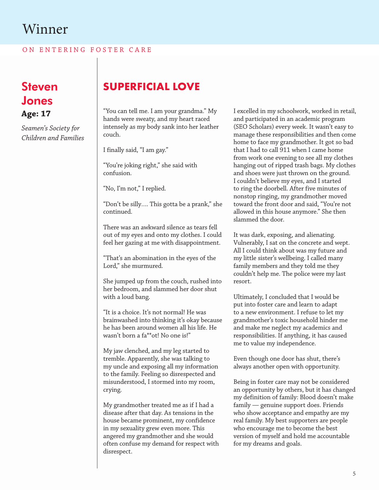ON ENTERING FOSTER CARE

Steven Jones **Age: 17**

*Seamen's Society for Children and Families*

## **SUPERFICIAL LOVE**

"You can tell me. I am your grandma." My hands were sweaty, and my heart raced intensely as my body sank into her leather couch.

I finally said, "I am gay."

"You're joking right," she said with confusion.

"No, I'm not," I replied.

"Don't be silly…. This gotta be a prank," she continued.

There was an awkward silence as tears fell out of my eyes and onto my clothes. I could feel her gazing at me with disappointment.

"That's an abomination in the eyes of the Lord," she murmured.

She jumped up from the couch, rushed into her bedroom, and slammed her door shut with a loud bang.

"It is a choice. It's not normal! He was brainwashed into thinking it's okay because he has been around women all his life. He wasn't born a fa\*\*ot! No one is!"

My jaw clenched, and my leg started to tremble. Apparently, she was talking to my uncle and exposing all my information to the family. Feeling so disrespected and misunderstood, I stormed into my room, crying.

My grandmother treated me as if I had a disease after that day. As tensions in the house became prominent, my confidence in my sexuality grew even more. This angered my grandmother and she would often confuse my demand for respect with disrespect.

I excelled in my schoolwork, worked in retail, and participated in an academic program (SEO Scholars) every week. It wasn't easy to manage these responsibilities and then come home to face my grandmother. It got so bad that I had to call 911 when I came home from work one evening to see all my clothes hanging out of ripped trash bags. My clothes and shoes were just thrown on the ground. I couldn't believe my eyes, and I started to ring the doorbell. After five minutes of nonstop ringing, my grandmother moved toward the front door and said, "You're not allowed in this house anymore." She then slammed the door.

It was dark, exposing, and alienating. Vulnerably, I sat on the concrete and wept. All I could think about was my future and my little sister's wellbeing. I called many family members and they told me they couldn't help me. The police were my last resort.

Ultimately, I concluded that I would be put into foster care and learn to adapt to a new environment. I refuse to let my grandmother's toxic household hinder me and make me neglect my academics and responsibilities. If anything, it has caused me to value my independence.

Even though one door has shut, there's always another open with opportunity.

Being in foster care may not be considered an opportunity by others, but it has changed my definition of family: Blood doesn't make family — genuine support does. Friends who show acceptance and empathy are my real family. My best supporters are people who encourage me to become the best version of myself and hold me accountable for my dreams and goals.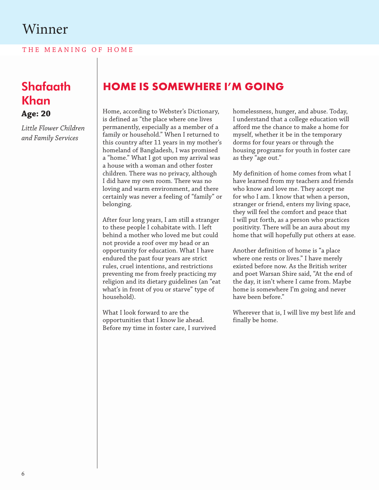THE MEANING OF HOME

#### Shafaath Khan **Age: 20**

*Little Flower Children and Family Services*

#### **HOME IS SOMEWHERE I'M GOING**

Home, according to Webster's Dictionary, is defined as "the place where one lives permanently, especially as a member of a family or household." When I returned to this country after 11 years in my mother's homeland of Bangladesh, I was promised a "home." What I got upon my arrival was a house with a woman and other foster children. There was no privacy, although I did have my own room. There was no loving and warm environment, and there certainly was never a feeling of "family" or belonging.

After four long years, I am still a stranger to these people I cohabitate with. I left behind a mother who loved me but could not provide a roof over my head or an opportunity for education. What I have endured the past four years are strict rules, cruel intentions, and restrictions preventing me from freely practicing my religion and its dietary guidelines (an "eat what's in front of you or starve" type of household).

What I look forward to are the opportunities that I know lie ahead. Before my time in foster care, I survived homelessness, hunger, and abuse. Today, I understand that a college education will afford me the chance to make a home for myself, whether it be in the temporary dorms for four years or through the housing programs for youth in foster care as they "age out."

My definition of home comes from what I have learned from my teachers and friends who know and love me. They accept me for who I am. I know that when a person, stranger or friend, enters my living space, they will feel the comfort and peace that I will put forth, as a person who practices positivity. There will be an aura about my home that will hopefully put others at ease.

Another definition of home is "a place where one rests or lives." I have merely existed before now. As the British writer and poet Warsan Shire said, "At the end of the day, it isn't where I came from. Maybe home is somewhere I'm going and never have been before."

Wherever that is, I will live my best life and finally be home.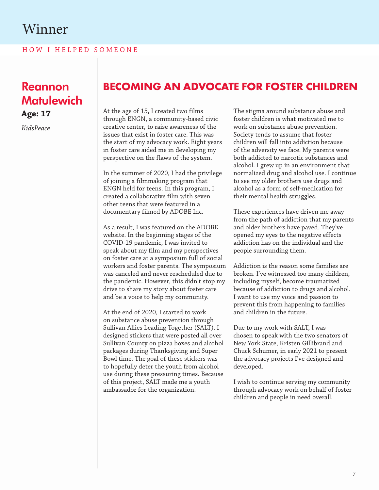HOW I HELPED SOMEONE

## Reannon **Matulewich**

**Age: 17**

*KidsPeace*

#### **BECOMING AN ADVOCATE FOR FOSTER CHILDREN**

At the age of 15, I created two films through ENGN, a community-based civic creative center, to raise awareness of the issues that exist in foster care. This was the start of my advocacy work. Eight years in foster care aided me in developing my perspective on the flaws of the system.

In the summer of 2020, I had the privilege of joining a filmmaking program that ENGN held for teens. In this program, I created a collaborative film with seven other teens that were featured in a documentary filmed by ADOBE Inc.

As a result, I was featured on the ADOBE website. In the beginning stages of the COVID-19 pandemic, I was invited to speak about my film and my perspectives on foster care at a symposium full of social workers and foster parents. The symposium was canceled and never rescheduled due to the pandemic. However, this didn't stop my drive to share my story about foster care and be a voice to help my community.

At the end of 2020, I started to work on substance abuse prevention through Sullivan Allies Leading Together (SALT). I designed stickers that were posted all over Sullivan County on pizza boxes and alcohol packages during Thanksgiving and Super Bowl time. The goal of these stickers was to hopefully deter the youth from alcohol use during these pressuring times. Because of this project, SALT made me a youth ambassador for the organization.

The stigma around substance abuse and foster children is what motivated me to work on substance abuse prevention. Society tends to assume that foster children will fall into addiction because of the adversity we face. My parents were both addicted to narcotic substances and alcohol. I grew up in an environment that normalized drug and alcohol use. I continue to see my older brothers use drugs and alcohol as a form of self-medication for their mental health struggles.

These experiences have driven me away from the path of addiction that my parents and older brothers have paved. They've opened my eyes to the negative effects addiction has on the individual and the people surrounding them.

Addiction is the reason some families are broken. I've witnessed too many children, including myself, become traumatized because of addiction to drugs and alcohol. I want to use my voice and passion to prevent this from happening to families and children in the future.

Due to my work with SALT, I was chosen to speak with the two senators of New York State, Kristen Gillibrand and Chuck Schumer, in early 2021 to present the advocacy projects I've designed and developed.

I wish to continue serving my community through advocacy work on behalf of foster children and people in need overall.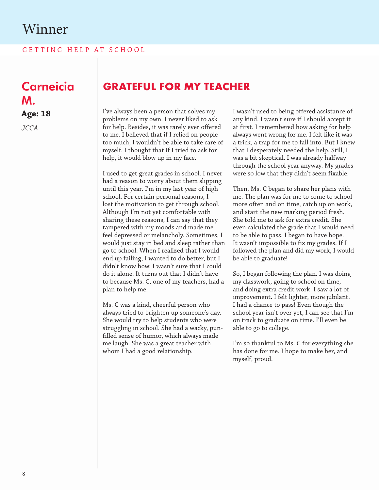GETTING HELP AT SCHOOL

**Carneicia** M. **Age: 18**

*JCCA*

#### **GRATEFUL FOR MY TEACHER**

I've always been a person that solves my problems on my own. I never liked to ask for help. Besides, it was rarely ever offered to me. I believed that if I relied on people too much, I wouldn't be able to take care of myself. I thought that if I tried to ask for help, it would blow up in my face.

I used to get great grades in school. I never had a reason to worry about them slipping until this year. I'm in my last year of high school. For certain personal reasons, I lost the motivation to get through school. Although I'm not yet comfortable with sharing these reasons, I can say that they tampered with my moods and made me feel depressed or melancholy. Sometimes, I would just stay in bed and sleep rather than go to school. When I realized that I would end up failing, I wanted to do better, but I didn't know how. I wasn't sure that I could do it alone. It turns out that I didn't have to because Ms. C, one of my teachers, had a plan to help me.

Ms. C was a kind, cheerful person who always tried to brighten up someone's day. She would try to help students who were struggling in school. She had a wacky, punfilled sense of humor, which always made me laugh. She was a great teacher with whom I had a good relationship.

I wasn't used to being offered assistance of any kind. I wasn't sure if I should accept it at first. I remembered how asking for help always went wrong for me. I felt like it was a trick, a trap for me to fall into. But I knew that I desperately needed the help. Still, I was a bit skeptical. I was already halfway through the school year anyway. My grades were so low that they didn't seem fixable.

Then, Ms. C began to share her plans with me. The plan was for me to come to school more often and on time, catch up on work, and start the new marking period fresh. She told me to ask for extra credit. She even calculated the grade that I would need to be able to pass. I began to have hope. It wasn't impossible to fix my grades. If I followed the plan and did my work, I would be able to graduate!

So, I began following the plan. I was doing my classwork, going to school on time, and doing extra credit work. I saw a lot of improvement. I felt lighter, more jubilant. I had a chance to pass! Even though the school year isn't over yet, I can see that I'm on track to graduate on time. I'll even be able to go to college.

I'm so thankful to Ms. C for everything she has done for me. I hope to make her, and myself, proud.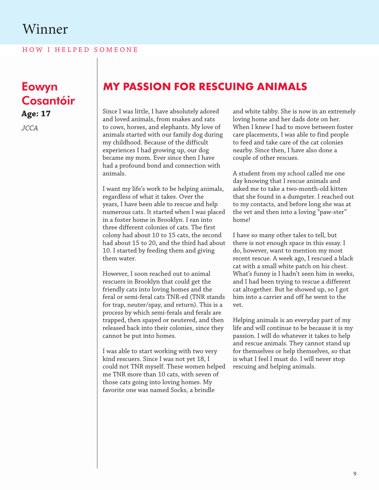HOW I HELPED SOMEONE

## Eowyn Cosantóir

**Age: 17**

*JCCA*

#### **MY PASSION FOR RESCUING ANIMALS**

Since I was little, I have absolutely adored and loved animals, from snakes and rats to cows, horses, and elephants. My love of animals started with our family dog during my childhood. Because of the difficult experiences I had growing up, our dog became my mom. Ever since then I have had a profound bond and connection with animals.

I want my life's work to be helping animals, regardless of what it takes. Over the years, I have been able to rescue and help numerous cats. It started when I was placed in a foster home in Brooklyn. I ran into three different colonies of cats. The first colony had about 10 to 15 cats, the second had about 15 to 20, and the third had about 10. I started by feeding them and giving them water.

However, I soon reached out to animal rescuers in Brooklyn that could get the friendly cats into loving homes and the feral or semi-feral cats TNR-ed (TNR stands for trap, neuter/spay, and return). This is a process by which semi-ferals and ferals are trapped, then spayed or neutered, and then released back into their colonies, since they cannot be put into homes.

I was able to start working with two very kind rescuers. Since I was not yet 18, I could not TNR myself. These women helped me TNR more than 10 cats, with seven of those cats going into loving homes. My favorite one was named Socks, a brindle

and white tabby. She is now in an extremely loving home and her dads dote on her. When I knew I had to move between foster care placements, I was able to find people to feed and take care of the cat colonies nearby. Since then, I have also done a couple of other rescues.

A student from my school called me one day knowing that I rescue animals and asked me to take a two-month-old kitten that she found in a dumpster. I reached out to my contacts, and before long she was at the vet and then into a loving "paw-ster" home!

I have so many other tales to tell, but there is not enough space in this essay. I do, however, want to mention my most recent rescue. A week ago, I rescued a black cat with a small white patch on his chest. What's funny is I hadn't seen him in weeks, and I had been trying to rescue a different cat altogether. But he showed up, so I got him into a carrier and off he went to the vet.

Helping animals is an everyday part of my life and will continue to be because it is my passion. I will do whatever it takes to help and rescue animals. They cannot stand up for themselves or help themselves, so that is what I feel I must do. I will never stop rescuing and helping animals.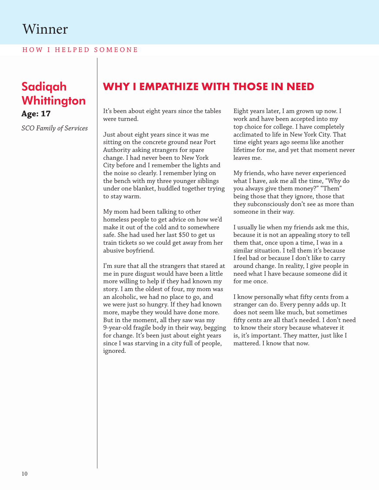H O W I H E L P E D S O M E O N E

#### Sadiqah **Whittington Age: 17**

*SCO Family of Services*

#### **WHY I EMPATHIZE WITH THOSE IN NEED**

It's been about eight years since the tables were turned.

Just about eight years since it was me sitting on the concrete ground near Port Authority asking strangers for spare change. I had never been to New York City before and I remember the lights and the noise so clearly. I remember lying on the bench with my three younger siblings under one blanket, huddled together trying to stay warm.

My mom had been talking to other homeless people to get advice on how we'd make it out of the cold and to somewhere safe. She had used her last \$50 to get us train tickets so we could get away from her abusive boyfriend.

I'm sure that all the strangers that stared at me in pure disgust would have been a little more willing to help if they had known my story. I am the oldest of four, my mom was an alcoholic, we had no place to go, and we were just so hungry. If they had known more, maybe they would have done more. But in the moment, all they saw was my 9-year-old fragile body in their way, begging for change. It's been just about eight years since I was starving in a city full of people, ignored.

Eight years later, I am grown up now. I work and have been accepted into my top choice for college. I have completely acclimated to life in New York City. That time eight years ago seems like another lifetime for me, and yet that moment never leaves me.

My friends, who have never experienced what I have, ask me all the time, "Why do you always give them money?" "Them" being those that they ignore, those that they subconsciously don't see as more than someone in their way.

I usually lie when my friends ask me this, because it is not an appealing story to tell them that, once upon a time, I was in a similar situation. I tell them it's because I feel bad or because I don't like to carry around change. In reality, I give people in need what I have because someone did it for me once.

I know personally what fifty cents from a stranger can do. Every penny adds up. It does not seem like much, but sometimes fifty cents are all that's needed. I don't need to know their story because whatever it is, it's important. They matter, just like I mattered. I know that now.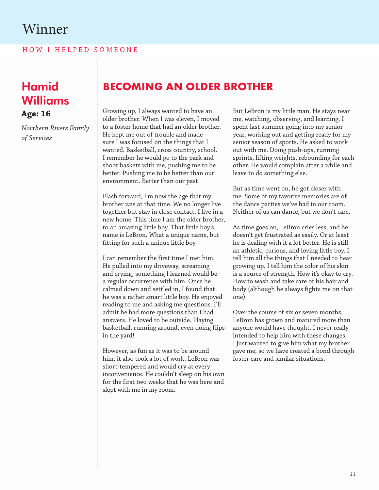HOW I HELPED SOMEONE

# Williams **Age: 16**

*Northern Rivers Family of Services* 

## Hamid **BECOMING AN OLDER BROTHER**

Growing up, I always wanted to have an older brother. When I was eleven, I moved to a foster home that had an older brother. He kept me out of trouble and made sure I was focused on the things that I wanted. Basketball, cross country, school. I remember he would go to the park and shoot baskets with me, pushing me to be better. Pushing me to be better than our environment. Better than our past.

Flash forward, I'm now the age that my brother was at that time. We no longer live together but stay in close contact. I live in a new home. This time I am the older brother, to an amazing little boy. That little boy's name is LeBron. What a unique name, but fitting for such a unique little boy.

I can remember the first time I met him. He pulled into my driveway, screaming and crying, something I learned would be a regular occurrence with him. Once he calmed down and settled in, I found that he was a rather smart little boy. He enjoyed reading to me and asking me questions. I'll admit he had more questions than I had answers. He loved to be outside. Playing basketball, running around, even doing flips in the yard!

However, as fun as it was to be around him, it also took a lot of work. LeBron was short-tempered and would cry at every inconvenience. He couldn't sleep on his own for the first two weeks that he was here and slept with me in my room.

But LeBron is my little man. He stays near me, watching, observing, and learning. I spent last summer going into my senior year, working out and getting ready for my senior season of sports. He asked to work out with me. Doing push-ups, running sprints, lifting weights, rebounding for each other. He would complain after a while and leave to do something else.

But as time went on, he got closer with me. Some of my favorite memories are of the dance parties we've had in our room. Neither of us can dance, but we don't care.

As time goes on, LeBron cries less, and he doesn't get frustrated as easily. Or at least he is dealing with it a lot better. He is still an athletic, curious, and loving little boy. I tell him all the things that I needed to hear growing up. I tell him the color of his skin is a source of strength. How it's okay to cry. How to wash and take care of his hair and body (although he always fights me on that one).

Over the course of six or seven months, LeBron has grown and matured more than anyone would have thought. I never really intended to help him with these changes; I just wanted to give him what my brother gave me, so we have created a bond through foster care and similar situations.